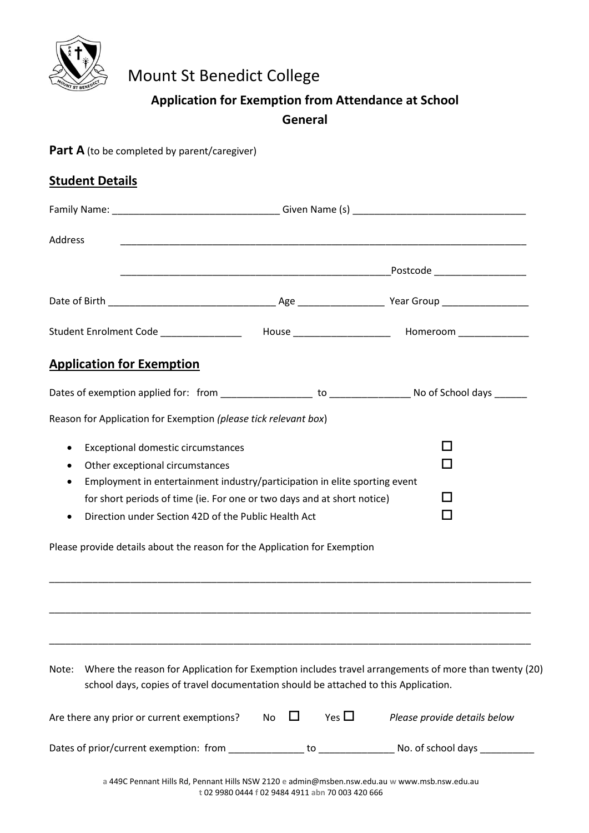

# Mount St Benedict College

## **Application for Exemption from Attendance at School General**

Part A (to be completed by parent/caregiver)

| <b>Student Details</b> |                                                                                                                                                                                                                                                                                        |    |  |            |                                                                                                                                      |  |  |
|------------------------|----------------------------------------------------------------------------------------------------------------------------------------------------------------------------------------------------------------------------------------------------------------------------------------|----|--|------------|--------------------------------------------------------------------------------------------------------------------------------------|--|--|
|                        |                                                                                                                                                                                                                                                                                        |    |  |            |                                                                                                                                      |  |  |
| <b>Address</b>         |                                                                                                                                                                                                                                                                                        |    |  |            |                                                                                                                                      |  |  |
|                        |                                                                                                                                                                                                                                                                                        |    |  |            |                                                                                                                                      |  |  |
|                        |                                                                                                                                                                                                                                                                                        |    |  |            |                                                                                                                                      |  |  |
|                        |                                                                                                                                                                                                                                                                                        |    |  |            | Student Enrolment Code _________________  House _____________________ Homeroom _______________                                       |  |  |
|                        | <b>Application for Exemption</b>                                                                                                                                                                                                                                                       |    |  |            |                                                                                                                                      |  |  |
|                        |                                                                                                                                                                                                                                                                                        |    |  |            |                                                                                                                                      |  |  |
|                        | Reason for Application for Exemption (please tick relevant box)                                                                                                                                                                                                                        |    |  |            |                                                                                                                                      |  |  |
| ٠<br>٠<br>٠            | Exceptional domestic circumstances<br>Other exceptional circumstances<br>Employment in entertainment industry/participation in elite sporting event<br>for short periods of time (ie. For one or two days and at short notice)<br>Direction under Section 42D of the Public Health Act |    |  |            |                                                                                                                                      |  |  |
|                        | Please provide details about the reason for the Application for Exemption                                                                                                                                                                                                              |    |  |            |                                                                                                                                      |  |  |
| Note:                  | school days, copies of travel documentation should be attached to this Application.<br>Are there any prior or current exemptions?                                                                                                                                                      | No |  | Yes $\Box$ | Where the reason for Application for Exemption includes travel arrangements of more than twenty (20)<br>Please provide details below |  |  |
|                        | Dates of prior/current exemption: from _                                                                                                                                                                                                                                               |    |  |            |                                                                                                                                      |  |  |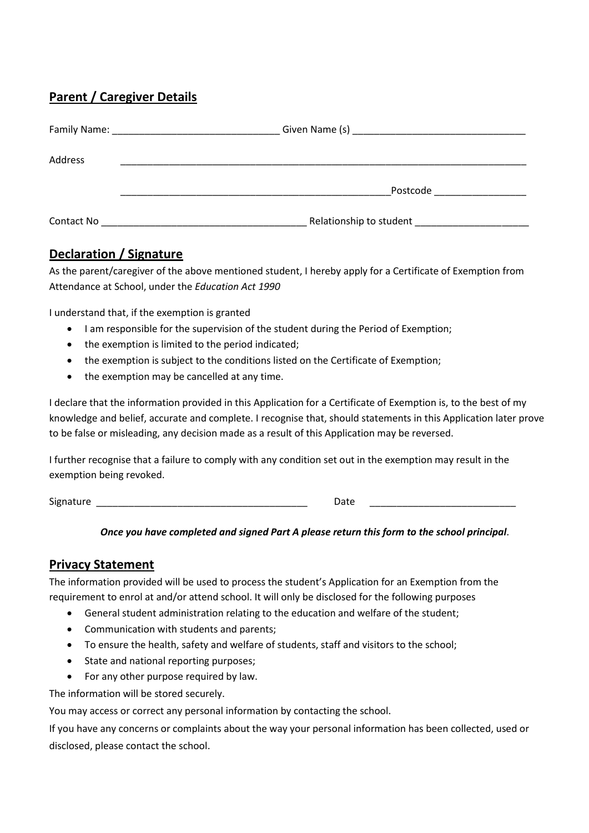## **Parent / Caregiver Details**

| Family Name: |                         |
|--------------|-------------------------|
| Address      |                         |
|              | Postcode                |
| Contact No   | Relationship to student |

### **Declaration / Signature**

As the parent/caregiver of the above mentioned student, I hereby apply for a Certificate of Exemption from Attendance at School, under the *Education Act 1990*

I understand that, if the exemption is granted

- I am responsible for the supervision of the student during the Period of Exemption;
- the exemption is limited to the period indicated;
- the exemption is subject to the conditions listed on the Certificate of Exemption;
- the exemption may be cancelled at any time.

I declare that the information provided in this Application for a Certificate of Exemption is, to the best of my knowledge and belief, accurate and complete. I recognise that, should statements in this Application later prove to be false or misleading, any decision made as a result of this Application may be reversed.

I further recognise that a failure to comply with any condition set out in the exemption may result in the exemption being revoked.

Signature \_\_\_\_\_\_\_\_\_\_\_\_\_\_\_\_\_\_\_\_\_\_\_\_\_\_\_\_\_\_\_\_\_\_\_\_\_\_\_ Date \_\_\_\_\_\_\_\_\_\_\_\_\_\_\_\_\_\_\_\_\_\_\_\_\_\_\_

#### *Once you have completed and signed Part A please return this form to the school principal.*

#### **Privacy Statement**

The information provided will be used to process the student's Application for an Exemption from the requirement to enrol at and/or attend school. It will only be disclosed for the following purposes

- General student administration relating to the education and welfare of the student;
- Communication with students and parents;
- To ensure the health, safety and welfare of students, staff and visitors to the school;
- State and national reporting purposes;
- For any other purpose required by law.

The information will be stored securely.

You may access or correct any personal information by contacting the school.

If you have any concerns or complaints about the way your personal information has been collected, used or disclosed, please contact the school.